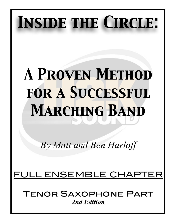# *Inside the Circle:*

## *A Proven Method for a Successful Marching Band*

*By Matt and Ben Harloff* 

## <u>FULL ENSEMBLE CHA</u>

Tenor Saxophone Part *2nd Edition*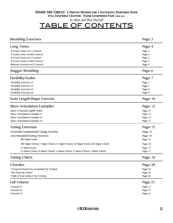*by Matt and Ben Harloff*

## TABLE OF CONTENTS

| <b>Breathing Exercises</b>                                                     | Page 3             |
|--------------------------------------------------------------------------------|--------------------|
| Long Tones                                                                     | Page 4             |
| -9 Count Tones on F Concert:                                                   | Page 4             |
| -9 Count Tones on Bb Concert:                                                  | Page 4             |
| -8 Count Tones on F Concert:                                                   | Page 4             |
| -8 Count Tones on Bb Concert:                                                  | Page 5             |
| -Release Exercise on F Concert:                                                | Page 5             |
| Stagger Breathing                                                              | Page 6             |
| Flexibility/Scales                                                             | Page 7             |
| -Flexibility Exercise #1:                                                      | Page 7             |
| -Flexibility Exercise #2:                                                      | Page 7             |
| -Flexibility Exercise #3:                                                      | Page 8             |
| -Flexibility Exercise #4:                                                      | Page 9             |
| Note Length/Shape Exercise                                                     | Page 10            |
| <b>Show Articulation Examples</b>                                              | Page 12            |
| -Basic 8 Staccato Eighth Notes:                                                |                    |
| -Show Articulation Example #1:                                                 | Page 12<br>Page 12 |
| -Show Articulation Example #2:                                                 | Page 13            |
| -Show Articulation Example #3:                                                 | Page 13            |
| <b>Tuning Exercises</b>                                                        | Page 15            |
| -Ensemble Fundamental Tuning Exercise:                                         | Page 15            |
| -Just IntonationTuning Exercises:                                              | Page 16            |
| -Bb Major Scale:                                                               | Page 16            |
|                                                                                |                    |
| -Bb Major Chord, F Major Chord, C Major Chord, Eb Major Chord, Ab Major Chord: | Page 16            |
| -G Minor Scale:                                                                | Page 17            |
| -G Minor Chord, D Minor Chord, A Minor Chord, C Minor Chord, F Minor Chord:    | Page 17            |
| <b>Tuning Charts</b>                                                           | Page 18            |
| Chorales                                                                       | Page 20            |
| -"O Sacred Head Now Wounded" by JS Bach:                                       | Page 20            |
| -"Be Thou My Vision":                                                          | Page 20            |
| -"Faith of Our Fathers" by H Hemy:                                             | Page 20            |
| <b>Full Volume</b>                                                             | Page 21            |
| -Excerpt $#1$ :                                                                | Page 21            |
| -Excerpt #2:                                                                   | Page 21            |
| -Excerpt $#3$ :                                                                | Page 21            |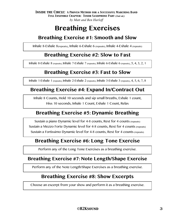## **Breathing Exercises**

## **Breathing Exercise #1: Smooth and Slow**

Inhale 8-Exhale 8(repeats), Inhale 6-Exhale 6 (repeats), Inhale 4-Exhale 4 (repeats)

## **Breathing Exercise #2: Slow to Fast**

Inhale 8-Exhale 8 (repeats), Inhale 7-Exhale 7 (repeats), Inhale 6-Exhale 6 (repeats), 5, 4, 3, 2, 1

## **Breathing Exercise #3: Fast to Slow**

Inhale 1-Exhale 1 (repeats), Inhale 2-Exhale 2 (repeats), Inhale 3-Exhale 3 (repeats), 4, 5, 6, 7, 8

## **Breathing Exercise #4: Expand In/Contract Out**

Inhale 8 Counts, Hold 10 seconds and sip small breaths, Exhale 1 count, Hiss 10 seconds, Inhale 1 Count, Exhale 1 Count, Relax

## **Breathing Exercise #5: Dynamic Breathing**

Sustain a piano Dynamic level for 4-8 counts, Rest for 4 counts (repeats) Sustain a Mezzo Forte Dynamic level for 4-8 counts, Rest for 4 counts (repeats) Sustain a Fortissimo Dynamic level for 4-8 counts, Rest for 4 counts (repeats)

## **Breathing Exercise #6: Long Tone Exercise**

Perform any of the Long Tone Exercises as a breathing exercise.

### **Breathing Exercise #7: Note Length/Shape Exercise**

Perform any of the Note Length/Shape Exercises as a breathing exercise.

## **Breathing Exercise #8: Show Excerpts**

Choose an excerpt from your show and perform it as a breathing exercise.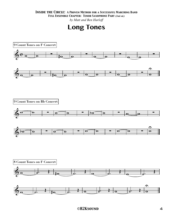*Inside the Circle: A Proven Method for a Successful Marching Band* 

*Full Ensemble Chapter: Tenor Saxophone Part (2nd ed.)*

*by Matt and Ben Harloff*



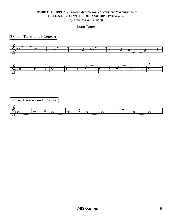*by Matt and Ben Harloff*

Long Tones

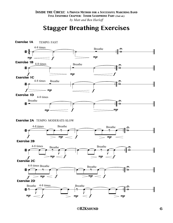## **Stagger Breathing Exercises**

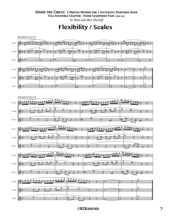*by Matt and Ben Harloff*

**Flexibility / Scales**

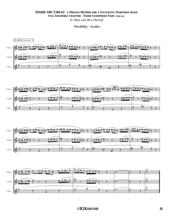*by Matt and Ben Harloff*

Flexibility / Scales







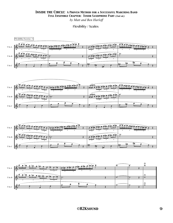*by Matt and Ben Harloff*

Flexibility / Scales

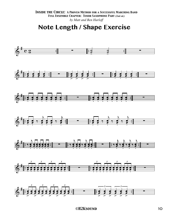Note Length / Shape Exercise

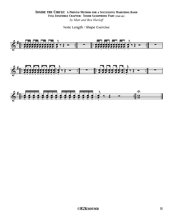#### **INSIDE THE CIRCLE: A PROVEN METHOD FOR A SUCCESSFUL MARCHING BAND** FULL ENSEMBLE CHAPTER: TENOR SAXOPHONE PART (2nd ed.) by Matt and Ben Harloff

Note Length / Shape Exercise

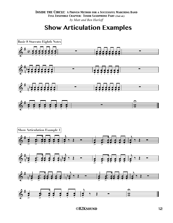## **Show Articulation Examples**

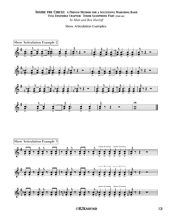#### **INSIDE THE CIRCLE: A PROVEN METHOD FOR A SUCCESSFUL MARCHING BAND** FULL ENSEMBLE CHAPTER: TENOR SAXOPHONE PART (2nd ed.) by Matt and Ben Harloff

#### Show Articulation Examples

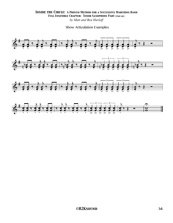Show Articulation Examples

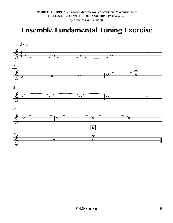## **Ensemble Fundamental Tuning Exercise**

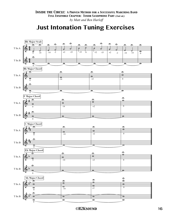## **Just Intonation Tuning Exercises**

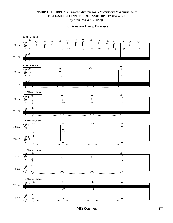

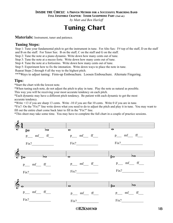#### *Inside the Circle: A Proven Method for a Successful Marching Band*

*Full Ensemble Chapter: Tenor Saxophone Part (2nd ed.)*

*by Matt and Ben Harloff*

## **Tuning Chart**

**Materials:** Instrument, tuner and patience.

#### **Tuning Steps:**

Step 1: Tune your fundamental pitch to get the instrument in tune. For Alto Sax: F# top of the staff, D on the staff and B on the staff. For Tenor Sax: B on the staff, C on the staff and G on the staff.

Step 2: Tune the note at a piano dynamic. Write down how many cents out of tune.

Step 3: Tune the note at a mezzo forte. Write down how many cents out of tune.

Step 4: Tune the note at a fortissimo. Write down how many cents out of tune.

Step 5: Experiment how to fix the intonation. Write down ways to place the note in tune.

Repeat Steps 2 through 4 all the way to the highest pitch.

\*\*\*Ways to adjust tuning: Firm-up Embouchure. Loosen Embouchure. Alternate Fingering.

#### **Tips:**

\*Start the chart with the lowest note.

\*When tuning each note, do not adjust the pitch to play in tune. Play the note as natural as possible.

This way you will be receiving your most accurate tendency on each pitch.

\*Each dynamic may have a different pitch tendency. Be patient with each dynamic to get the most accurate tendency.

\*Write +13 if you are sharp 13 cents. Write -10 if you are flat 10 cents. Write 0 if you are in tune.

\*Fix?: On the "Fix?" line write down what you need to do to adjust the pitch and play it in tune. You may want to fill out the entire chart come back later to fill in the "Fix?" line.

\*This sheet may take some time. You may have to complete the full chart in a couple of practice sessions.

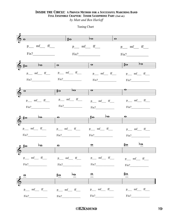*by Matt and Ben Harloff*

Tuning Chart

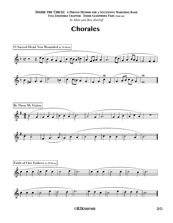#### *Inside the Circle: A Proven Method for a Successful Marching Band*

*Full Ensemble Chapter: Tenor Saxophone Part (2nd ed.)*

*by Matt and Ben Harloff*

## **Chorales**